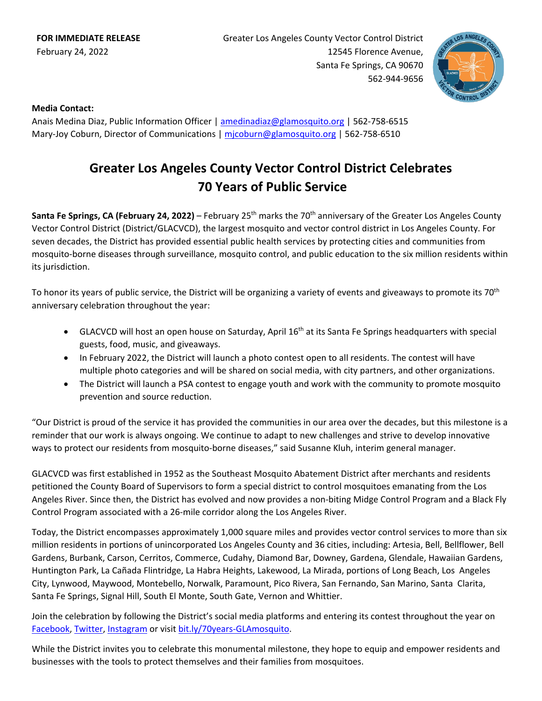Greater Los Angeles County Vector Control District 12545 Florence Avenue, Santa Fe Springs, CA 90670 562-944-9656



## **Media Contact:**

Anais Medina Diaz, Public Information Officer | [amedinadiaz@glamosquito.org](mailto:amedinadiaz@glamosquito.org) | 562-758-6515 Mary-Joy Coburn, Director of Communications | [mjcoburn@glamosquito.org](mailto:mjcoburn@glamosquito.org) | 562-758-6510

## **Greater Los Angeles County Vector Control District Celebrates 70 Years of Public Service**

**Santa Fe Springs, CA (February 24, 2022)** – February 25<sup>th</sup> marks the 70<sup>th</sup> anniversary of the Greater Los Angeles County Vector Control District (District/GLACVCD), the largest mosquito and vector control district in Los Angeles County. For seven decades, the District has provided essential public health services by protecting cities and communities from mosquito-borne diseases through surveillance, mosquito control, and public education to the six million residents within its jurisdiction.

To honor its years of public service, the District will be organizing a variety of events and giveaways to promote its 70<sup>th</sup> anniversary celebration throughout the year:

- GLACVCD will host an open house on Saturday, April 16<sup>th</sup> at its Santa Fe Springs headquarters with special guests, food, music, and giveaways.
- In February 2022, the District will launch a photo contest open to all residents. The contest will have multiple photo categories and will be shared on social media, with city partners, and other organizations.
- The District will launch a PSA contest to engage youth and work with the community to promote mosquito prevention and source reduction.

"Our District is proud of the service it has provided the communities in our area over the decades, but this milestone is a reminder that our work is always ongoing. We continue to adapt to new challenges and strive to develop innovative ways to protect our residents from mosquito-borne diseases," said Susanne Kluh, interim general manager.

GLACVCD was first established in 1952 as the Southeast Mosquito Abatement District after merchants and residents petitioned the County Board of Supervisors to form a special district to control mosquitoes emanating from the Los Angeles River. Since then, the District has evolved and now provides a non-biting Midge Control Program and a Black Fly Control Program associated with a 26-mile corridor along the Los Angeles River.

Today, the District encompasses approximately 1,000 square miles and provides vector control services to more than six million residents in portions of unincorporated Los Angeles County and 36 cities, including: Artesia, Bell, Bellflower, Bell Gardens, Burbank, Carson, Cerritos, Commerce, Cudahy, Diamond Bar, Downey, Gardena, Glendale, Hawaiian Gardens, Huntington Park, La Cañada Flintridge, La Habra Heights, Lakewood, La Mirada, portions of Long Beach, Los Angeles City, Lynwood, Maywood, Montebello, Norwalk, Paramount, Pico Rivera, San Fernando, San Marino, Santa Clarita, Santa Fe Springs, Signal Hill, South El Monte, South Gate, Vernon and Whittier.

Join the celebration by following the District's social media platforms and entering its contest throughout the year on [Facebook,](http://www.facebook.com/glamosquito/) [Twitter,](http://www.twitter.com/glamosquito/) [Instagram](http://www.instagram.com/glamosquito/) or visit [bit.ly/70years-GLAmosquito.](https://bit.ly/70years-GLAmosquito)

While the District invites you to celebrate this monumental milestone, they hope to equip and empower residents and businesses with the tools to protect themselves and their families from mosquitoes.